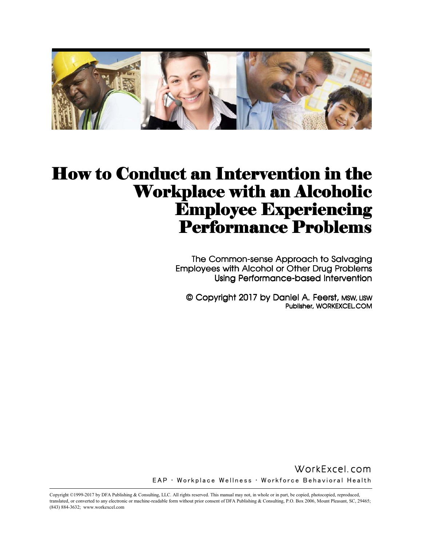

# How to Conduct an Intervention in the Workplace with an Alcoholic **Employee Experiencing** Performance Problems

The Common-sense Approach to Salvaging Employees with Alcohol or Other Drug Problems Using Performance-based Intervention

© Copyright 2017 by Daniel A. Feerst, MSW, LISW Publisher, WORKEXCEL.COM

WorkExcel.com WorkExcel.com EAP • Workplace Wellness • Workforce Behavioral Health

Copyright ©1999-2017 by DFA Publishing & Consulting, LLC. All rights reserved. This manual may not, in whole or in part, be copied, photocopied, reproduced, translated, or converted to any electronic or machine-readable form without prior consent of DFA Publishing & Consulting, P.O. Box 2006, Mount Pleasant, SC, 29465; (843) 884-3632; www.workexcel.com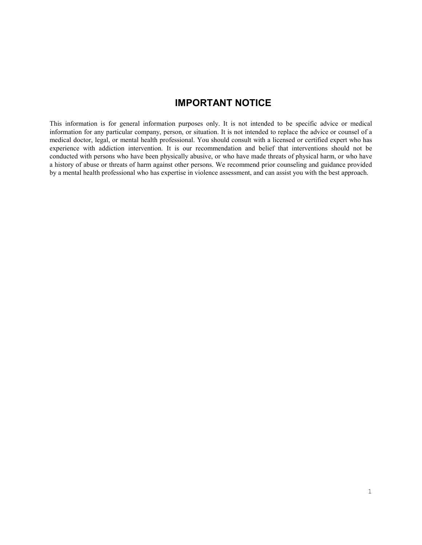## **IMPORTANT NOTICE**

This information is for general information purposes only. It is not intended to be specific advice or medical information for any particular company, person, or situation. It is not intended to replace the advice or counsel of a medical doctor, legal, or mental health professional. You should consult with a licensed or certified expert who has experience with addiction intervention. It is our recommendation and belief that interventions should not be conducted with persons who have been physically abusive, or who have made threats of physical harm, or who have a history of abuse or threats of harm against other persons. We recommend prior counseling and guidance provided by a mental health professional who has expertise in violence assessment, and can assist you with the best approach.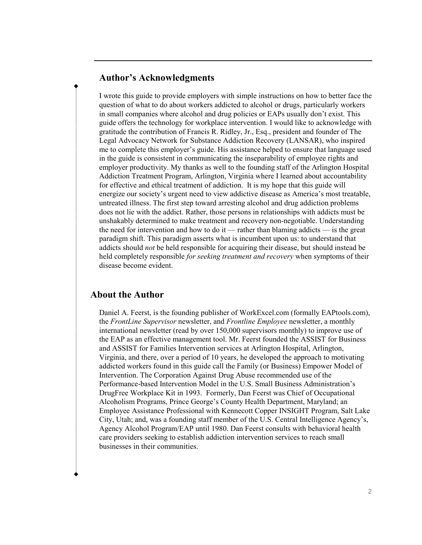#### **Author's Acknowledgments**

I wrote this guide to provide employers with simple instructions on how to better face the question of what to do about workers addicted to alcohol or drugs, particularly workers in small companies where alcohol and drug policies or EAPs usually don't exist. This guide offers the technology for workplace intervention. I would like to acknowledge with gratitude the contribution of Francis R. Ridley, Jr., Esq., president and founder of The Legal Advocacy Network for Substance Addiction Recovery (LANSAR), who inspired me to complete this employer's guide. His assistance helped to ensure that language used in the guide is consistent in communicating the inseparability of employee rights and employer productivity. My thanks as well to the founding staff of the Arlington Hospital Addiction Treatment Program, Arlington, Virginia where I learned about accountability for effective and ethical treatment of addiction. It is my hope that this guide will energize our society's urgent need to view addictive disease as America's most treatable, untreated illness. The first step toward arresting alcohol and drug addiction problems does not lie with the addict. Rather, those persons in relationships with addicts must be unshakably determined to make treatment and recovery non-negotiable. Understanding the need for intervention and how to do it — rather than blaming addicts — is the great paradigm shift. This paradigm asserts what is incumbent upon us: to understand that addicts should *not* be held responsible for acquiring their disease, but should instead be held completely responsible *for seeking treatment and recovery* when symptoms of their disease become evident.

#### **About the Author**

Daniel A. Feerst, is the founding publisher of WorkExcel.com (formally EAPtools.com), the *FrontLine Supervisor* newsletter, and *Frontline Employee* newsletter, a monthly international newsletter (read by over 150,000 supervisors monthly) to improve use of the EAP as an effective management tool. Mr. Feerst founded the ASSIST for Business and ASSIST for Families Intervention services at Arlington Hospital, Arlington, Virginia, and there, over a period of 10 years, he developed the approach to motivating addicted workers found in this guide call the Family (or Business) Empower Model of Intervention. The Corporation Against Drug Abuse recommended use of the Performance-based Intervention Model in the U.S. Small Business Administration's DrugFree Workplace Kit in 1993. Formerly, Dan Feerst was Chief of Occupational Alcoholism Programs, Prince George's County Health Department, Maryland; an Employee Assistance Professional with Kennecott Copper INSIGHT Program, Salt Lake City, Utah; and, was a founding staff member of the U.S. Central Intelligence Agency's, Agency Alcohol Program/EAP until 1980. Dan Feerst consults with behavioral health care providers seeking to establish addiction intervention services to reach small businesses in their communities.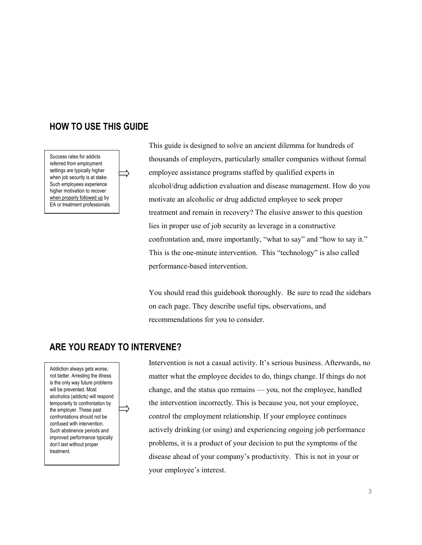### **HOW TO USE THIS GUIDE**

Success rates for addicts referred from employment settings are typically higher when job security is at stake. Such employees experience higher motivation to recover when properly followed up by EA or treatment professionals.

This guide is designed to solve an ancient dilemma for hundreds of thousands of employers, particularly smaller companies without formal employee assistance programs staffed by qualified experts in alcohol/drug addiction evaluation and disease management. How do you motivate an alcoholic or drug addicted employee to seek proper treatment and remain in recovery? The elusive answer to this question lies in proper use of job security as leverage in a constructive confrontation and, more importantly, "what to say" and "how to say it." This is the one-minute intervention. This "technology" is also called performance-based intervention.

You should read this guidebook thoroughly. Be sure to read the sidebars on each page. They describe useful tips, observations, and recommendations for you to consider.

# **ARE YOU READY TO INTERVENE?**

Addiction always gets worse, not better. Arresting the illness is the only way future problems will be prevented. Most alcoholics (addicts) will respond temporarily to confrontation by the employer. These past confrontations should not be confused with intervention. Such abstinence periods and improved performance typically don't last without proper treatment.

Intervention is not a casual activity. It's serious business. Afterwards, no matter what the employee decides to do, things change. If things do not change, and the status quo remains — you, not the employee, handled the intervention incorrectly. This is because you, not your employee, control the employment relationship. If your employee continues actively drinking (or using) and experiencing ongoing job performance problems, it is a product of your decision to put the symptoms of the disease ahead of your company's productivity. This is not in your or your employee's interest.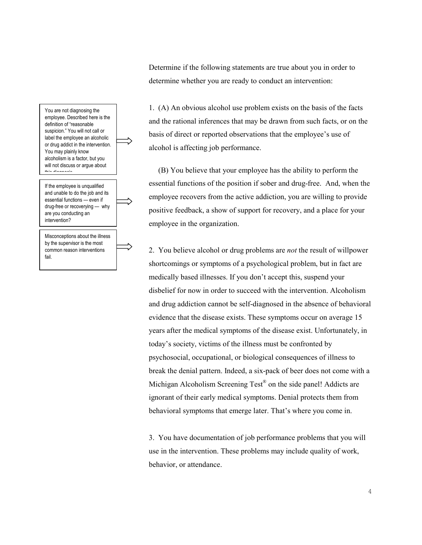

Determine if the following statements are true about you in order to determine whether you are ready to conduct an intervention:

1. (A) An obvious alcohol use problem exists on the basis of the facts and the rational inferences that may be drawn from such facts, or on the basis of direct or reported observations that the employee's use of alcohol is affecting job performance.

 (B) You believe that your employee has the ability to perform the essential functions of the position if sober and drug-free. And, when the employee recovers from the active addiction, you are willing to provide positive feedback, a show of support for recovery, and a place for your employee in the organization.

2. You believe alcohol or drug problems are *not* the result of willpower shortcomings or symptoms of a psychological problem, but in fact are medically based illnesses. If you don't accept this, suspend your disbelief for now in order to succeed with the intervention. Alcoholism and drug addiction cannot be self-diagnosed in the absence of behavioral evidence that the disease exists. These symptoms occur on average 15 years after the medical symptoms of the disease exist. Unfortunately, in today's society, victims of the illness must be confronted by psychosocial, occupational, or biological consequences of illness to break the denial pattern. Indeed, a six-pack of beer does not come with a Michigan Alcoholism Screening Test® on the side panel! Addicts are ignorant of their early medical symptoms. Denial protects them from behavioral symptoms that emerge later. That's where you come in.

3. You have documentation of job performance problems that you will use in the intervention. These problems may include quality of work, behavior, or attendance.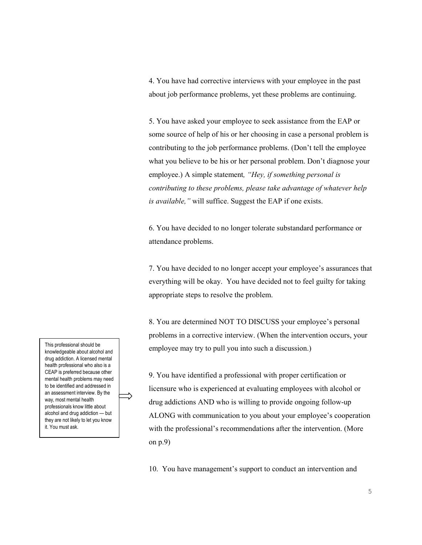4. You have had corrective interviews with your employee in the past about job performance problems, yet these problems are continuing.

5. You have asked your employee to seek assistance from the EAP or some source of help of his or her choosing in case a personal problem is contributing to the job performance problems. (Don't tell the employee what you believe to be his or her personal problem. Don't diagnose your employee.) A simple statement*, "Hey, if something personal is contributing to these problems, please take advantage of whatever help is available,"* will suffice. Suggest the EAP if one exists.

6. You have decided to no longer tolerate substandard performance or attendance problems.

7. You have decided to no longer accept your employee's assurances that everything will be okay. You have decided not to feel guilty for taking appropriate steps to resolve the problem.

8. You are determined NOT TO DISCUSS your employee's personal problems in a corrective interview. (When the intervention occurs, your employee may try to pull you into such a discussion.)

9. You have identified a professional with proper certification or licensure who is experienced at evaluating employees with alcohol or drug addictions AND who is willing to provide ongoing follow-up ALONG with communication to you about your employee's cooperation with the professional's recommendations after the intervention. (More on p.9)

10. You have management's support to conduct an intervention and

This professional should be knowledgeable about alcohol and drug addiction. A licensed mental health professional who also is a CEAP is preferred because other mental health problems may need to be identified and addressed in an assessment interview. By the way, most mental health professionals know little about alcohol and drug addiction — but they are not likely to let you know it. You must ask.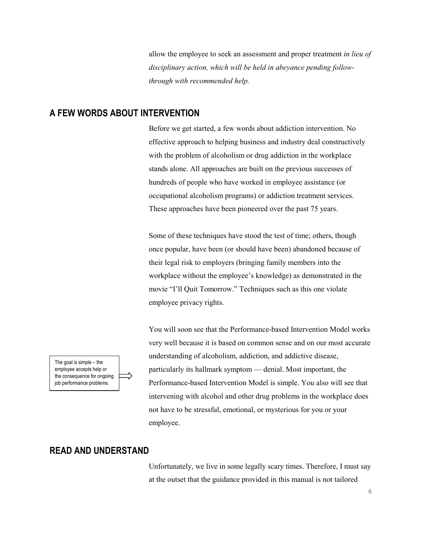allow the employee to seek an assessment and proper treatment *in lieu of disciplinary action, which will be held in abeyance pending followthrough with recommended help.*

#### **A FEW WORDS ABOUT INTERVENTION**

Before we get started, a few words about addiction intervention. No effective approach to helping business and industry deal constructively with the problem of alcoholism or drug addiction in the workplace stands alone. All approaches are built on the previous successes of hundreds of people who have worked in employee assistance (or occupational alcoholism programs) or addiction treatment services. These approaches have been pioneered over the past 75 years.

Some of these techniques have stood the test of time; others, though once popular, have been (or should have been) abandoned because of their legal risk to employers (bringing family members into the workplace without the employee's knowledge) as demonstrated in the movie "I'll Quit Tomorrow." Techniques such as this one violate employee privacy rights.

You will soon see that the Performance-based Intervention Model works very well because it is based on common sense and on our most accurate understanding of alcoholism, addiction, and addictive disease, particularly its hallmark symptom — denial. Most important, the Performance-based Intervention Model is simple. You also will see that intervening with alcohol and other drug problems in the workplace does not have to be stressful, emotional, or mysterious for you or your employee.

**READ AND UNDERSTAND** 

Unfortunately, we live in some legally scary times. Therefore, I must say at the outset that the guidance provided in this manual is not tailored

The goal is simple – the employee accepts help or the consequence for ongoing job performance problems.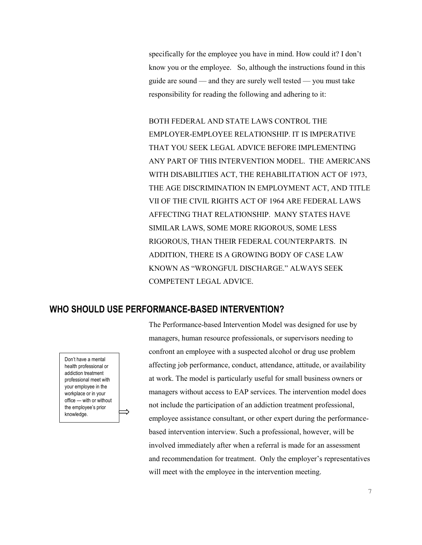specifically for the employee you have in mind. How could it? I don't know you or the employee. So, although the instructions found in this guide are sound — and they are surely well tested — you must take responsibility for reading the following and adhering to it:

BOTH FEDERAL AND STATE LAWS CONTROL THE EMPLOYER-EMPLOYEE RELATIONSHIP. IT IS IMPERATIVE THAT YOU SEEK LEGAL ADVICE BEFORE IMPLEMENTING ANY PART OF THIS INTERVENTION MODEL. THE AMERICANS WITH DISABILITIES ACT, THE REHABILITATION ACT OF 1973, THE AGE DISCRIMINATION IN EMPLOYMENT ACT, AND TITLE VII OF THE CIVIL RIGHTS ACT OF 1964 ARE FEDERAL LAWS AFFECTING THAT RELATIONSHIP. MANY STATES HAVE SIMILAR LAWS, SOME MORE RIGOROUS, SOME LESS RIGOROUS, THAN THEIR FEDERAL COUNTERPARTS. IN ADDITION, THERE IS A GROWING BODY OF CASE LAW KNOWN AS "WRONGFUL DISCHARGE." ALWAYS SEEK COMPETENT LEGAL ADVICE.

### **WHO SHOULD USE PERFORMANCE-BASED INTERVENTION?**

Don't have a mental health professional or addiction treatment professional meet with your employee in the workplace or in your office — with or without the employee's prior knowledge.

The Performance-based Intervention Model was designed for use by managers, human resource professionals, or supervisors needing to confront an employee with a suspected alcohol or drug use problem affecting job performance, conduct, attendance, attitude, or availability at work. The model is particularly useful for small business owners or managers without access to EAP services. The intervention model does not include the participation of an addiction treatment professional, employee assistance consultant, or other expert during the performancebased intervention interview. Such a professional, however, will be involved immediately after when a referral is made for an assessment and recommendation for treatment. Only the employer's representatives will meet with the employee in the intervention meeting.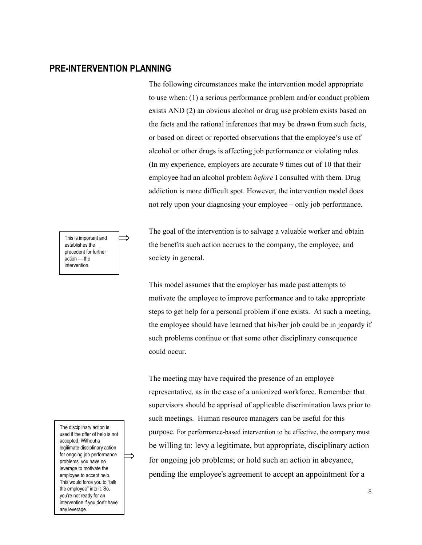#### **PRE-INTERVENTION PLANNING**

The following circumstances make the intervention model appropriate to use when: (1) a serious performance problem and/or conduct problem exists AND (2) an obvious alcohol or drug use problem exists based on the facts and the rational inferences that may be drawn from such facts, or based on direct or reported observations that the employee's use of alcohol or other drugs is affecting job performance or violating rules. (In my experience, employers are accurate 9 times out of 10 that their employee had an alcohol problem *before* I consulted with them. Drug addiction is more difficult spot. However, the intervention model does not rely upon your diagnosing your employee – only job performance.

This is important and establishes the precedent for further action — the intervention.

The disciplinary action is used if the offer of help is not accepted. Without a legitimate disciplinary action for ongoing job performance problems, you have no leverage to motivate the employee to accept help. This would force you to "talk the employee" into it. So, you're not ready for an intervention if you don't have any leverage.

The goal of the intervention is to salvage a valuable worker and obtain the benefits such action accrues to the company, the employee, and society in general.

This model assumes that the employer has made past attempts to motivate the employee to improve performance and to take appropriate steps to get help for a personal problem if one exists. At such a meeting, the employee should have learned that his/her job could be in jeopardy if such problems continue or that some other disciplinary consequence could occur.

The meeting may have required the presence of an employee representative, as in the case of a unionized workforce. Remember that supervisors should be apprised of applicable discrimination laws prior to such meetings. Human resource managers can be useful for this purpose. For performance-based intervention to be effective, the company must be willing to: levy a legitimate, but appropriate, disciplinary action for ongoing job problems; or hold such an action in abeyance, pending the employee's agreement to accept an appointment for a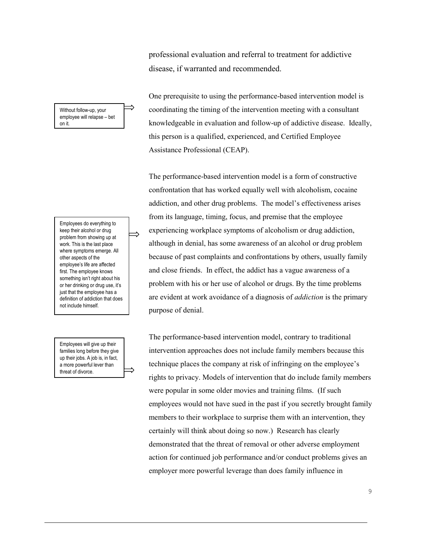professional evaluation and referral to treatment for addictive disease, if warranted and recommended.

One prerequisite to using the performance-based intervention model is coordinating the timing of the intervention meeting with a consultant knowledgeable in evaluation and follow-up of addictive disease. Ideally, this person is a qualified, experienced, and Certified Employee Assistance Professional (CEAP).

The performance-based intervention model is a form of constructive confrontation that has worked equally well with alcoholism, cocaine addiction, and other drug problems. The model's effectiveness arises from its language, timing, focus, and premise that the employee experiencing workplace symptoms of alcoholism or drug addiction, although in denial, has some awareness of an alcohol or drug problem because of past complaints and confrontations by others, usually family and close friends. In effect, the addict has a vague awareness of a problem with his or her use of alcohol or drugs. By the time problems are evident at work avoidance of a diagnosis of *addiction* is the primary purpose of denial.

The performance-based intervention model, contrary to traditional intervention approaches does not include family members because this technique places the company at risk of infringing on the employee's rights to privacy. Models of intervention that do include family members were popular in some older movies and training films. (If such employees would not have sued in the past if you secretly brought family members to their workplace to surprise them with an intervention, they certainly will think about doing so now.) Research has clearly demonstrated that the threat of removal or other adverse employment action for continued job performance and/or conduct problems gives an employer more powerful leverage than does family influence in

Without follow-up, your employee will relapse – bet on it.

Employees do everything to keep their alcohol or drug problem from showing up at work. This is the last place where symptoms emerge. All other aspects of the employee's life are affected first. The employee knows something isn't right about his or her drinking or drug use, it's just that the employee has a definition of addiction that does not include himself.

Employees will give up their families long before they give up their jobs. A job is, in fact, a more powerful lever than threat of divorce.

9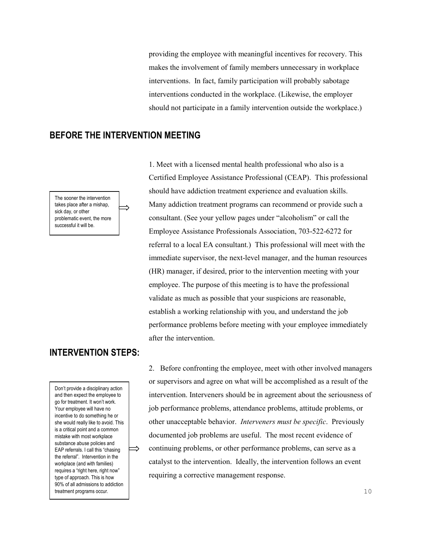providing the employee with meaningful incentives for recovery. This makes the involvement of family members unnecessary in workplace interventions. In fact, family participation will probably sabotage interventions conducted in the workplace. (Likewise, the employer should not participate in a family intervention outside the workplace.)

#### **BEFORE THE INTERVENTION MEETING**

The sooner the intervention takes place after a mishap, sick day, or other problematic event, the more successful it will be.

### **INTERVENTION STEPS:**

Don't provide a disciplinary action and then expect the employee to go for treatment. It won't work. Your employee will have no incentive to do something he or she would really like to avoid. This is a critical point and a common mistake with most workplace substance abuse policies and EAP referrals. I call this "chasing the referral". Intervention in the workplace (and with families) requires a "right here, right now" type of approach. This is how 90% of all admissions to addiction treatment programs occur.

⇒

1. Meet with a licensed mental health professional who also is a Certified Employee Assistance Professional (CEAP). This professional should have addiction treatment experience and evaluation skills. Many addiction treatment programs can recommend or provide such a consultant. (See your yellow pages under "alcoholism" or call the Employee Assistance Professionals Association, 703-522-6272 for referral to a local EA consultant.) This professional will meet with the immediate supervisor, the next-level manager, and the human resources (HR) manager, if desired, prior to the intervention meeting with your employee. The purpose of this meeting is to have the professional validate as much as possible that your suspicions are reasonable, establish a working relationship with you, and understand the job performance problems before meeting with your employee immediately after the intervention.

2. Before confronting the employee, meet with other involved managers or supervisors and agree on what will be accomplished as a result of the intervention. Interveners should be in agreement about the seriousness of job performance problems, attendance problems, attitude problems, or other unacceptable behavior. *Interveners must be specific*. Previously documented job problems are useful. The most recent evidence of continuing problems, or other performance problems, can serve as a catalyst to the intervention. Ideally, the intervention follows an event requiring a corrective management response.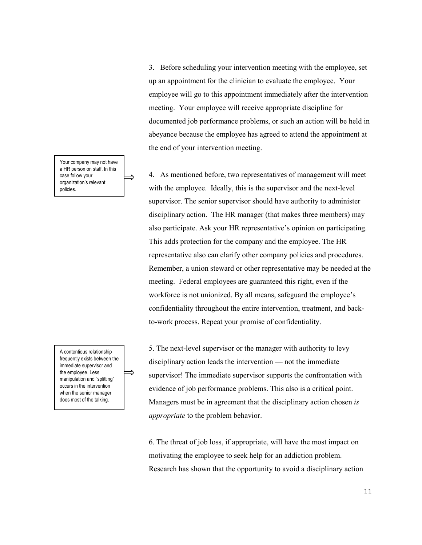3. Before scheduling your intervention meeting with the employee, set up an appointment for the clinician to evaluate the employee. Your employee will go to this appointment immediately after the intervention meeting. Your employee will receive appropriate discipline for documented job performance problems, or such an action will be held in abeyance because the employee has agreed to attend the appointment at the end of your intervention meeting.

4. As mentioned before, two representatives of management will meet with the employee. Ideally, this is the supervisor and the next-level supervisor. The senior supervisor should have authority to administer disciplinary action. The HR manager (that makes three members) may also participate. Ask your HR representative's opinion on participating. This adds protection for the company and the employee. The HR representative also can clarify other company policies and procedures. Remember, a union steward or other representative may be needed at the meeting. Federal employees are guaranteed this right, even if the workforce is not unionized. By all means, safeguard the employee's confidentiality throughout the entire intervention, treatment, and backto-work process. Repeat your promise of confidentiality.

5. The next-level supervisor or the manager with authority to levy disciplinary action leads the intervention — not the immediate supervisor! The immediate supervisor supports the confrontation with evidence of job performance problems. This also is a critical point. Managers must be in agreement that the disciplinary action chosen *is appropriate* to the problem behavior.

6. The threat of job loss, if appropriate, will have the most impact on motivating the employee to seek help for an addiction problem. Research has shown that the opportunity to avoid a disciplinary action

Your company may not have a HR person on staff. In this case follow your organization's relevant policies.

A contentious relationship frequently exists between the immediate supervisor and the employee. Less manipulation and "splitting" occurs in the intervention when the senior manager does most of the talking.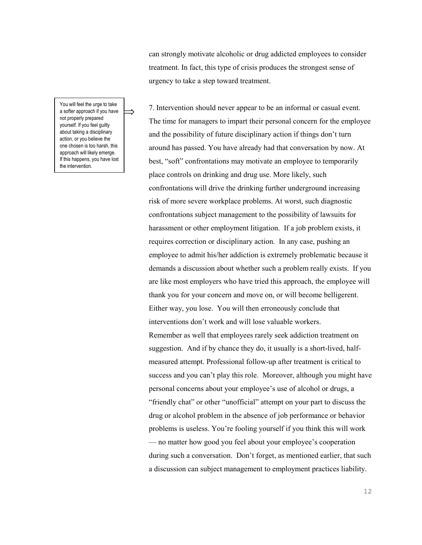can strongly motivate alcoholic or drug addicted employees to consider treatment. In fact, this type of crisis produces the strongest sense of urgency to take a step toward treatment.

You will feel the urge to take a softer approach if you have not properly prepared yourself. If you feel guilty about taking a disciplinary action, or you believe the one chosen is too harsh, this approach will likely emerge. If this happens, you have lost the intervention.

7. Intervention should never appear to be an informal or casual event. The time for managers to impart their personal concern for the employee and the possibility of future disciplinary action if things don't turn around has passed. You have already had that conversation by now. At best, "soft" confrontations may motivate an employee to temporarily place controls on drinking and drug use. More likely, such confrontations will drive the drinking further underground increasing risk of more severe workplace problems. At worst, such diagnostic confrontations subject management to the possibility of lawsuits for harassment or other employment litigation. If a job problem exists, it requires correction or disciplinary action. In any case, pushing an employee to admit his/her addiction is extremely problematic because it demands a discussion about whether such a problem really exists. If you are like most employers who have tried this approach, the employee will thank you for your concern and move on, or will become belligerent. Either way, you lose. You will then erroneously conclude that interventions don't work and will lose valuable workers. Remember as well that employees rarely seek addiction treatment on suggestion. And if by chance they do, it usually is a short-lived, halfmeasured attempt. Professional follow-up after treatment is critical to success and you can't play this role. Moreover, although you might have personal concerns about your employee's use of alcohol or drugs, a "friendly chat" or other "unofficial" attempt on your part to discuss the drug or alcohol problem in the absence of job performance or behavior problems is useless. You're fooling yourself if you think this will work — no matter how good you feel about your employee's cooperation during such a conversation. Don't forget, as mentioned earlier, that such a discussion can subject management to employment practices liability.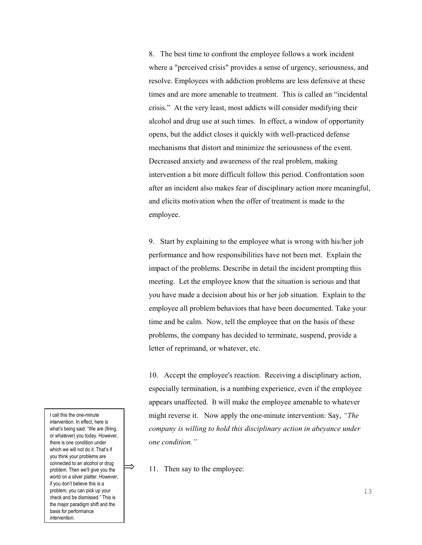8. The best time to confront the employee follows a work incident where a "perceived crisis" provides a sense of urgency, seriousness, and resolve. Employees with addiction problems are less defensive at these times and are more amenable to treatment. This is called an "incidental crisis." At the very least, most addicts will consider modifying their alcohol and drug use at such times. In effect, a window of opportunity opens, but the addict closes it quickly with well-practiced defense mechanisms that distort and minimize the seriousness of the event. Decreased anxiety and awareness of the real problem, making intervention a bit more difficult follow this period. Confrontation soon after an incident also makes fear of disciplinary action more meaningful, and elicits motivation when the offer of treatment is made to the employee.

9. Start by explaining to the employee what is wrong with his/her job performance and how responsibilities have not been met. Explain the impact of the problems. Describe in detail the incident prompting this meeting. Let the employee know that the situation is serious and that you have made a decision about his or her job situation. Explain to the employee all problem behaviors that have been documented. Take your time and be calm. Now, tell the employee that on the basis of these problems, the company has decided to terminate, suspend, provide a letter of reprimand, or whatever, etc.

10. Accept the employee's reaction. Receiving a disciplinary action, especially termination, is a numbing experience, even if the employee appears unaffected. It will make the employee amenable to whatever might reverse it. Now apply the one-minute intervention: Say, *"The company is willing to hold this disciplinary action in abeyance under one condition."*

11. Then say to the employee:

I call this the one-minute intervention. In effect, here is what's being said: "We are (firing, or whatever) you today. However, there is one condition under which we will not do it. That's if you think your problems are connected to an alcohol or drug problem. Then we'll give you the world on a silver platter. However, if you don't believe this is a problem, you can pick up your check and be dismissed." This is the major paradigm shift and the basis for performance intervention.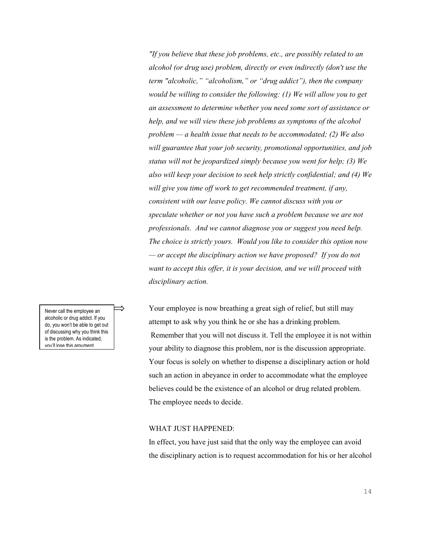*"If you believe that these job problems, etc., are possibly related to an alcohol (or drug use) problem, directly or even indirectly (don't use the term "alcoholic," "alcoholism," or "drug addict"), then the company would be willing to consider the following: (1) We will allow you to get an assessment to determine whether you need some sort of assistance or help, and we will view these job problems as symptoms of the alcohol problem — a health issue that needs to be accommodated; (2) We also will guarantee that your job security, promotional opportunities, and job status will not be jeopardized simply because you went for help; (3) We also will keep your decision to seek help strictly confidential; and (4) We will give you time off work to get recommended treatment, if any, consistent with our leave policy. We cannot discuss with you or speculate whether or not you have such a problem because we are not professionals. And we cannot diagnose you or suggest you need help. The choice is strictly yours. Would you like to consider this option now — or accept the disciplinary action we have proposed? If you do not want to accept this offer, it is your decision, and we will proceed with disciplinary action.* 

Your employee is now breathing a great sigh of relief, but still may attempt to ask why you think he or she has a drinking problem. Remember that you will not discuss it. Tell the employee it is not within your ability to diagnose this problem, nor is the discussion appropriate. Your focus is solely on whether to dispense a disciplinary action or hold such an action in abeyance in order to accommodate what the employee believes could be the existence of an alcohol or drug related problem. The employee needs to decide.

#### WHAT JUST HAPPENED:

In effect, you have just said that the only way the employee can avoid the disciplinary action is to request accommodation for his or her alcohol

Never call the employee an alcoholic or drug addict. If you do, you won't be able to get out of discussing why you think this is the problem. As indicated, you'll lose this argument.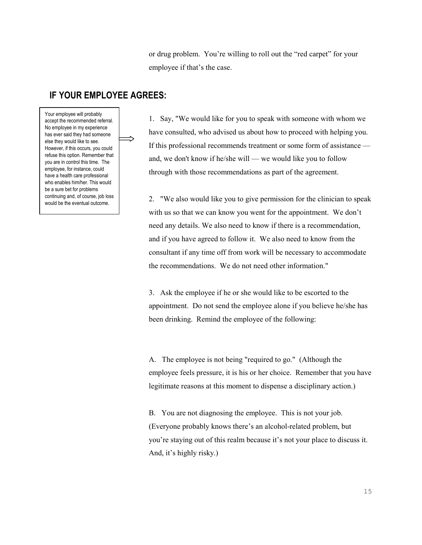or drug problem. You're willing to roll out the "red carpet" for your employee if that's the case.

#### **IF YOUR EMPLOYEE AGREES:**

Your employee will probably accept the recommended referral. No employee in my experience has ever said they had someone else they would like to see. However, if this occurs, you could refuse this option. Remember that you are in control this time. The employee, for instance, could have a health care professional who enables him/her. This would be a sure bet for problems continuing and, of course, job loss would be the eventual outcome.

1. Say, "We would like for you to speak with someone with whom we have consulted, who advised us about how to proceed with helping you. If this professional recommends treatment or some form of assistance and, we don't know if he/she will — we would like you to follow through with those recommendations as part of the agreement.

2. "We also would like you to give permission for the clinician to speak with us so that we can know you went for the appointment. We don't need any details. We also need to know if there is a recommendation, and if you have agreed to follow it. We also need to know from the consultant if any time off from work will be necessary to accommodate the recommendations. We do not need other information."

3. Ask the employee if he or she would like to be escorted to the appointment. Do not send the employee alone if you believe he/she has been drinking. Remind the employee of the following:

A. The employee is not being "required to go." (Although the employee feels pressure, it is his or her choice. Remember that you have legitimate reasons at this moment to dispense a disciplinary action.)

B. You are not diagnosing the employee. This is not your job. (Everyone probably knows there's an alcohol-related problem, but you're staying out of this realm because it's not your place to discuss it. And, it's highly risky.)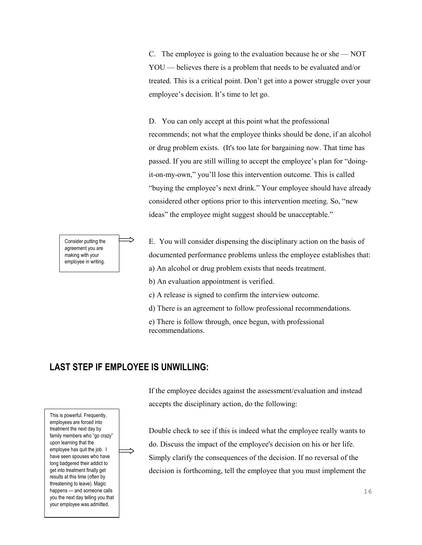C. The employee is going to the evaluation because he or she — NOT YOU — believes there is a problem that needs to be evaluated and/or treated. This is a critical point. Don't get into a power struggle over your employee's decision. It's time to let go.

D. You can only accept at this point what the professional recommends; not what the employee thinks should be done, if an alcohol or drug problem exists. (It's too late for bargaining now. That time has passed. If you are still willing to accept the employee's plan for "doingit-on-my-own," you'll lose this intervention outcome. This is called "buying the employee's next drink." Your employee should have already considered other options prior to this intervention meeting. So, "new ideas" the employee might suggest should be unacceptable."

E. You will consider dispensing the disciplinary action on the basis of documented performance problems unless the employee establishes that: a) An alcohol or drug problem exists that needs treatment.

b) An evaluation appointment is verified.

c) A release is signed to confirm the interview outcome.

d) There is an agreement to follow professional recommendations.

e) There is follow through, once begun, with professional recommendations.

#### **LAST STEP IF EMPLOYEE IS UNWILLING:**

This is powerful. Frequently, employees are forced into treatment the next day by family members who "go crazy" upon learning that the employee has quit the job. I have seen spouses who have long badgered their addict to get into treatment finally get results at this time (often by threatening to leave). Magic happens — and someone calls you the next day telling you that your employee was admitted.

If the employee decides against the assessment/evaluation and instead accepts the disciplinary action, do the following:

Double check to see if this is indeed what the employee really wants to do. Discuss the impact of the employee's decision on his or her life. Simply clarify the consequences of the decision. If no reversal of the decision is forthcoming, tell the employee that you must implement the

Consider putting the agreement you are making with your employee in writing.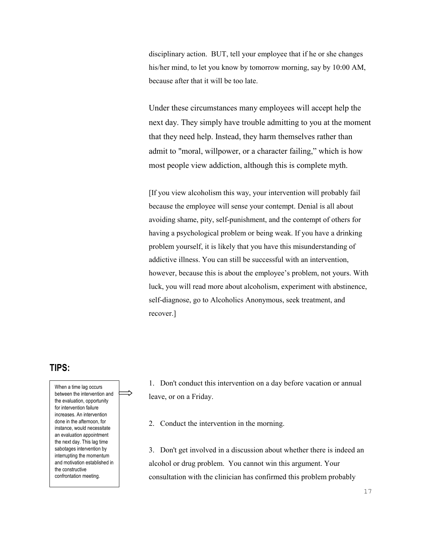disciplinary action. BUT, tell your employee that if he or she changes his/her mind, to let you know by tomorrow morning, say by 10:00 AM, because after that it will be too late.

Under these circumstances many employees will accept help the next day. They simply have trouble admitting to you at the moment that they need help. Instead, they harm themselves rather than admit to "moral, willpower, or a character failing," which is how most people view addiction, although this is complete myth.

[If you view alcoholism this way, your intervention will probably fail because the employee will sense your contempt. Denial is all about avoiding shame, pity, self-punishment, and the contempt of others for having a psychological problem or being weak. If you have a drinking problem yourself, it is likely that you have this misunderstanding of addictive illness. You can still be successful with an intervention, however, because this is about the employee's problem, not yours. With luck, you will read more about alcoholism, experiment with abstinence, self-diagnose, go to Alcoholics Anonymous, seek treatment, and recover.]

#### **TIPS:**

When a time lag occurs between the intervention and the evaluation, opportunity for intervention failure increases. An intervention done in the afternoon, for instance, would necessitate an evaluation appointment the next day. This lag time sabotages intervention by interrupting the momentum and motivation established in the constructive confrontation meeting.

1. Don't conduct this intervention on a day before vacation or annual leave, or on a Friday.

2. Conduct the intervention in the morning.

3. Don't get involved in a discussion about whether there is indeed an alcohol or drug problem. You cannot win this argument. Your consultation with the clinician has confirmed this problem probably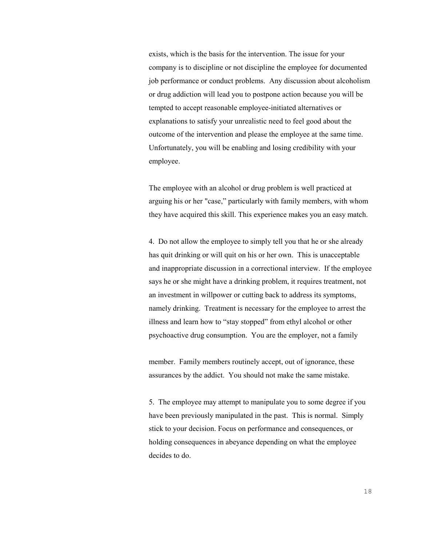exists, which is the basis for the intervention. The issue for your company is to discipline or not discipline the employee for documented job performance or conduct problems. Any discussion about alcoholism or drug addiction will lead you to postpone action because you will be tempted to accept reasonable employee-initiated alternatives or explanations to satisfy your unrealistic need to feel good about the outcome of the intervention and please the employee at the same time. Unfortunately, you will be enabling and losing credibility with your employee.

The employee with an alcohol or drug problem is well practiced at arguing his or her "case," particularly with family members, with whom they have acquired this skill. This experience makes you an easy match.

4. Do not allow the employee to simply tell you that he or she already has quit drinking or will quit on his or her own. This is unacceptable and inappropriate discussion in a correctional interview. If the employee says he or she might have a drinking problem, it requires treatment, not an investment in willpower or cutting back to address its symptoms, namely drinking. Treatment is necessary for the employee to arrest the illness and learn how to "stay stopped" from ethyl alcohol or other psychoactive drug consumption. You are the employer, not a family

member. Family members routinely accept, out of ignorance, these assurances by the addict. You should not make the same mistake.

5. The employee may attempt to manipulate you to some degree if you have been previously manipulated in the past. This is normal. Simply stick to your decision. Focus on performance and consequences, or holding consequences in abeyance depending on what the employee decides to do.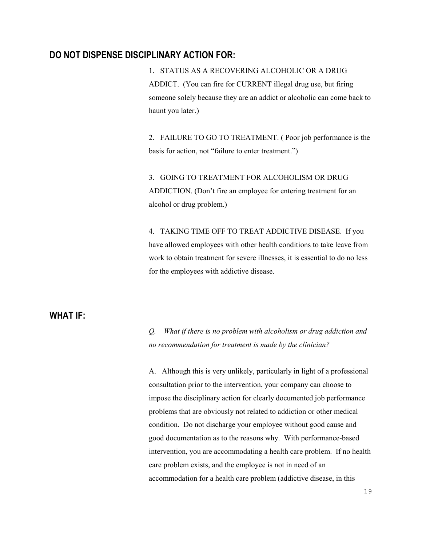### **DO NOT DISPENSE DISCIPLINARY ACTION FOR:**

1. STATUS AS A RECOVERING ALCOHOLIC OR A DRUG ADDICT. (You can fire for CURRENT illegal drug use, but firing someone solely because they are an addict or alcoholic can come back to haunt you later.)

2. FAILURE TO GO TO TREATMENT. ( Poor job performance is the basis for action, not "failure to enter treatment.")

3. GOING TO TREATMENT FOR ALCOHOLISM OR DRUG ADDICTION. (Don't fire an employee for entering treatment for an alcohol or drug problem.)

4. TAKING TIME OFF TO TREAT ADDICTIVE DISEASE. If you have allowed employees with other health conditions to take leave from work to obtain treatment for severe illnesses, it is essential to do no less for the employees with addictive disease.

### **WHAT IF:**

*Q. What if there is no problem with alcoholism or drug addiction and no recommendation for treatment is made by the clinician?*

A. Although this is very unlikely, particularly in light of a professional consultation prior to the intervention, your company can choose to impose the disciplinary action for clearly documented job performance problems that are obviously not related to addiction or other medical condition. Do not discharge your employee without good cause and good documentation as to the reasons why. With performance-based intervention, you are accommodating a health care problem. If no health care problem exists, and the employee is not in need of an accommodation for a health care problem (addictive disease, in this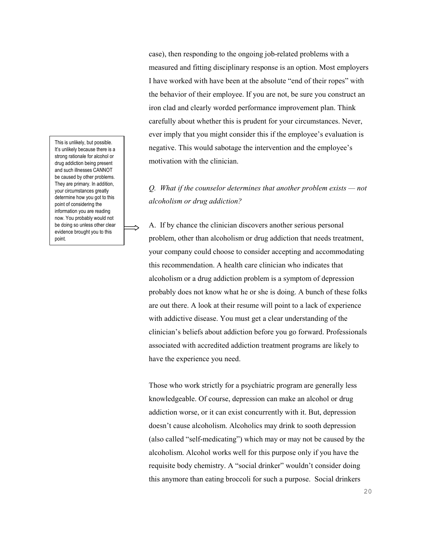This is unlikely, but possible. It's unlikely because there is a strong rationale for alcohol or drug addiction being present and such illnesses CANNOT be caused by other problems. They are primary. In addition, your circumstances greatly determine how you got to this point of considering the information you are reading now. You probably would not be doing so unless other clear evidence brought you to this point.

case), then responding to the ongoing job-related problems with a measured and fitting disciplinary response is an option. Most employers I have worked with have been at the absolute "end of their ropes" with the behavior of their employee. If you are not, be sure you construct an iron clad and clearly worded performance improvement plan. Think carefully about whether this is prudent for your circumstances. Never, ever imply that you might consider this if the employee's evaluation is negative. This would sabotage the intervention and the employee's motivation with the clinician.

# *Q. What if the counselor determines that another problem exists — not alcoholism or drug addiction?*

A. If by chance the clinician discovers another serious personal problem, other than alcoholism or drug addiction that needs treatment, your company could choose to consider accepting and accommodating this recommendation. A health care clinician who indicates that alcoholism or a drug addiction problem is a symptom of depression probably does not know what he or she is doing. A bunch of these folks are out there. A look at their resume will point to a lack of experience with addictive disease. You must get a clear understanding of the clinician's beliefs about addiction before you go forward. Professionals associated with accredited addiction treatment programs are likely to have the experience you need.

Those who work strictly for a psychiatric program are generally less knowledgeable. Of course, depression can make an alcohol or drug addiction worse, or it can exist concurrently with it. But, depression doesn't cause alcoholism. Alcoholics may drink to sooth depression (also called "self-medicating") which may or may not be caused by the alcoholism. Alcohol works well for this purpose only if you have the requisite body chemistry. A "social drinker" wouldn't consider doing this anymore than eating broccoli for such a purpose. Social drinkers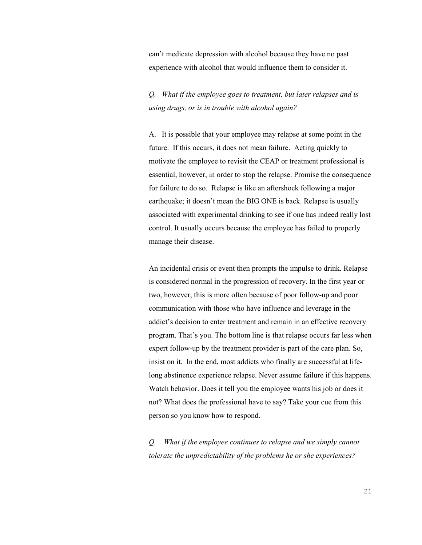can't medicate depression with alcohol because they have no past experience with alcohol that would influence them to consider it.

*Q. What if the employee goes to treatment, but later relapses and is using drugs, or is in trouble with alcohol again?* 

A. It is possible that your employee may relapse at some point in the future. If this occurs, it does not mean failure. Acting quickly to motivate the employee to revisit the CEAP or treatment professional is essential, however, in order to stop the relapse. Promise the consequence for failure to do so. Relapse is like an aftershock following a major earthquake; it doesn't mean the BIG ONE is back. Relapse is usually associated with experimental drinking to see if one has indeed really lost control. It usually occurs because the employee has failed to properly manage their disease.

An incidental crisis or event then prompts the impulse to drink. Relapse is considered normal in the progression of recovery. In the first year or two, however, this is more often because of poor follow-up and poor communication with those who have influence and leverage in the addict's decision to enter treatment and remain in an effective recovery program. That's you. The bottom line is that relapse occurs far less when expert follow-up by the treatment provider is part of the care plan. So, insist on it. In the end, most addicts who finally are successful at lifelong abstinence experience relapse. Never assume failure if this happens. Watch behavior. Does it tell you the employee wants his job or does it not? What does the professional have to say? Take your cue from this person so you know how to respond.

*Q. What if the employee continues to relapse and we simply cannot tolerate the unpredictability of the problems he or she experiences?*